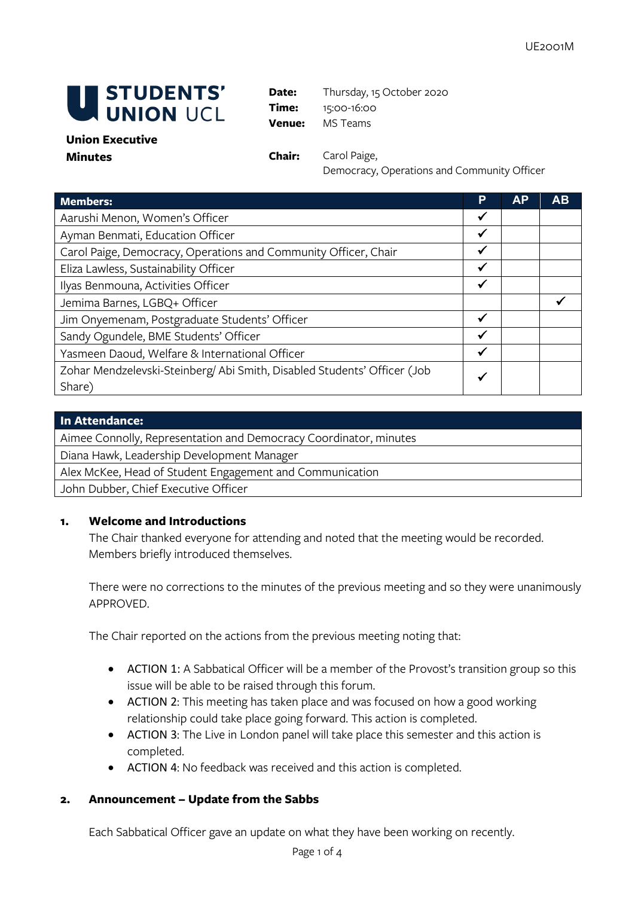

**Date:** Thursday, 15 October 2020 **Time:** 15:00-16:00 **Venue:** MS Teams

### **Union Executive Minutes Chair:** Carol Paige,

Democracy, Operations and Community Officer

| <b>Members:</b>                                                                    | P | АP | AB |
|------------------------------------------------------------------------------------|---|----|----|
| Aarushi Menon, Women's Officer                                                     |   |    |    |
| Ayman Benmati, Education Officer                                                   | √ |    |    |
| Carol Paige, Democracy, Operations and Community Officer, Chair                    |   |    |    |
| Eliza Lawless, Sustainability Officer                                              | √ |    |    |
| Ilyas Benmouna, Activities Officer                                                 | √ |    |    |
| Jemima Barnes, LGBQ+ Officer                                                       |   |    |    |
| Jim Onyemenam, Postgraduate Students' Officer                                      | ✔ |    |    |
| Sandy Ogundele, BME Students' Officer                                              | √ |    |    |
| Yasmeen Daoud, Welfare & International Officer                                     | ✔ |    |    |
| Zohar Mendzelevski-Steinberg/ Abi Smith, Disabled Students' Officer (Job<br>Share) |   |    |    |

| In Attendance:                                                    |
|-------------------------------------------------------------------|
| Aimee Connolly, Representation and Democracy Coordinator, minutes |
| Diana Hawk, Leadership Development Manager                        |
| Alex McKee, Head of Student Engagement and Communication          |
| John Dubber, Chief Executive Officer                              |

# **1. Welcome and Introductions**

The Chair thanked everyone for attending and noted that the meeting would be recorded. Members briefly introduced themselves.

There were no corrections to the minutes of the previous meeting and so they were unanimously APPROVED.

The Chair reported on the actions from the previous meeting noting that:

- ACTION 1: A Sabbatical Officer will be a member of the Provost's transition group so this issue will be able to be raised through this forum.
- ACTION 2: This meeting has taken place and was focused on how a good working relationship could take place going forward. This action is completed.
- ACTION 3: The Live in London panel will take place this semester and this action is completed.
- ACTION 4: No feedback was received and this action is completed.

# **2. Announcement – Update from the Sabbs**

Each Sabbatical Officer gave an update on what they have been working on recently.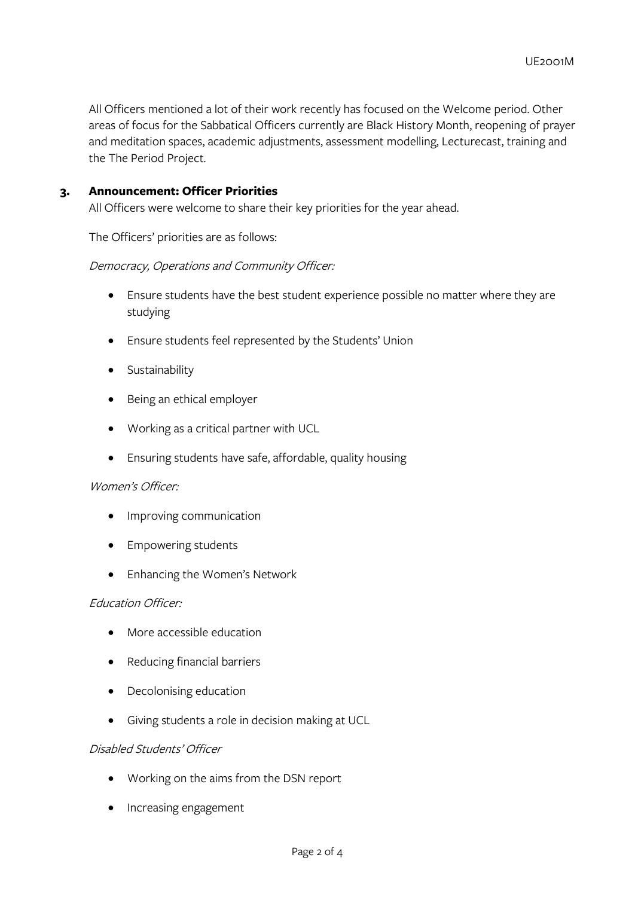All Officers mentioned a lot of their work recently has focused on the Welcome period. Other areas of focus for the Sabbatical Officers currently are Black History Month, reopening of prayer and meditation spaces, academic adjustments, assessment modelling, Lecturecast, training and the The Period Project.

### **3. Announcement: Officer Priorities**

All Officers were welcome to share their key priorities for the year ahead.

The Officers' priorities are as follows:

### Democracy, Operations and Community Officer:

- Ensure students have the best student experience possible no matter where they are studying
- Ensure students feel represented by the Students' Union
- Sustainability
- Being an ethical employer
- Working as a critical partner with UCL
- Ensuring students have safe, affordable, quality housing

### Women's Officer:

- Improving communication
- Empowering students
- Enhancing the Women's Network

### Education Officer:

- More accessible education
- Reducing financial barriers
- Decolonising education
- Giving students a role in decision making at UCL

### Disabled Students' Officer

- Working on the aims from the DSN report
- Increasing engagement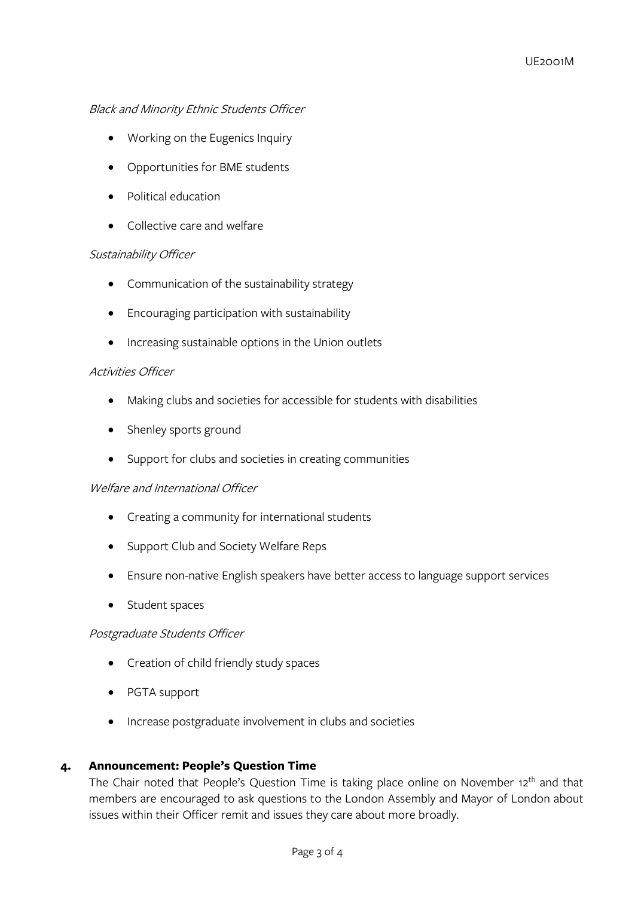# Black and Minority Ethnic Students Officer

- Working on the Eugenics Inquiry
- Opportunities for BME students
- Political education
- Collective care and welfare

# Sustainability Officer

- Communication of the sustainability strategy
- Encouraging participation with sustainability
- Increasing sustainable options in the Union outlets

### Activities Officer

- Making clubs and societies for accessible for students with disabilities
- Shenley sports ground
- Support for clubs and societies in creating communities

# Welfare and International Officer

- Creating a community for international students
- Support Club and Society Welfare Reps
- Ensure non-native English speakers have better access to language support services
- Student spaces

# Postgraduate Students Officer

- Creation of child friendly study spaces
- PGTA support
- Increase postgraduate involvement in clubs and societies

# **4. Announcement: People's Question Time**

The Chair noted that People's Question Time is taking place online on November 12<sup>th</sup> and that members are encouraged to ask questions to the London Assembly and Mayor of London about issues within their Officer remit and issues they care about more broadly.